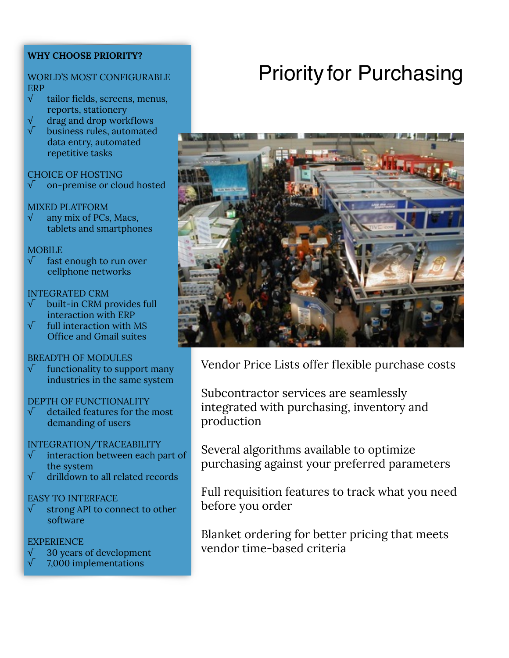## **WHY CHOOSE PRIORITY?**

#### WORLD'S MOST CONFIGURABLE ERP

- √ tailor fields, screens, menus, reports, stationery
- $\sqrt{\phantom{a}}$  drag and drop workflows
- √ business rules, automated data entry, automated repetitive tasks

#### CHOICE OF HOSTING

√ on-premise or cloud hosted

#### MIXED PLATFORM

 $\sqrt{\phantom{a}}$  any mix of PCs, Macs, tablets and smartphones

#### **MOBILE**

fast enough to run over cellphone networks

#### INTEGRATED CRM

- √ built-in CRM provides full interaction with ERP
- full interaction with MS Office and Gmail suites

#### BREADTH OF MODULES

 $\sqrt{\phantom{a}}$  functionality to support many industries in the same system

#### DEPTH OF FUNCTIONALITY

 $\sqrt{\phantom{a}}$  detailed features for the most demanding of users

#### INTEGRATION/TRACEABILITY

- interaction between each part of the system
- √ drilldown to all related records

## EASY TO INTERFACE

√ strong API to connect to other software

#### **EXPERIENCE**

- √ 30 years of development
- √ 7,000 implementations

# Priority for Purchasing



Vendor Price Lists offer flexible purchase costs

Subcontractor services are seamlessly integrated with purchasing, inventory and production

Several algorithms available to optimize purchasing against your preferred parameters

Full requisition features to track what you need before you order

Blanket ordering for better pricing that meets vendor time-based criteria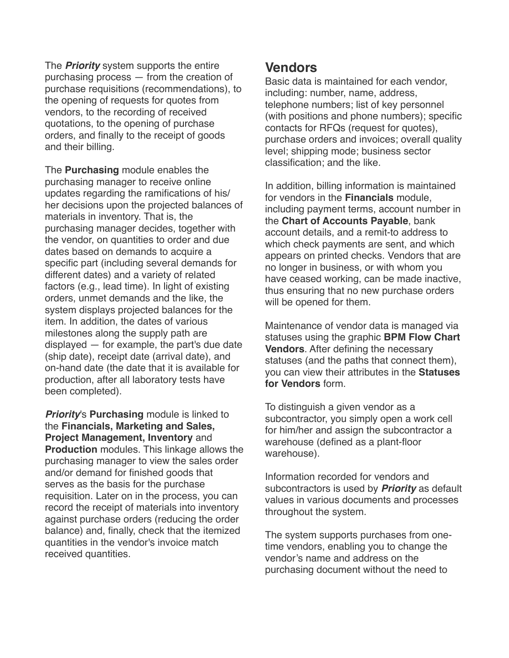The *Priority* system supports the entire purchasing process — from the creation of purchase requisitions (recommendations), to the opening of requests for quotes from vendors, to the recording of received quotations, to the opening of purchase orders, and finally to the receipt of goods and their billing.

The **Purchasing** module enables the purchasing manager to receive online updates regarding the ramifications of his/ her decisions upon the projected balances of materials in inventory. That is, the purchasing manager decides, together with the vendor, on quantities to order and due dates based on demands to acquire a specific part (including several demands for different dates) and a variety of related factors (e.g., lead time). In light of existing orders, unmet demands and the like, the system displays projected balances for the item. In addition, the dates of various milestones along the supply path are displayed — for example, the part's due date (ship date), receipt date (arrival date), and on-hand date (the date that it is available for production, after all laboratory tests have been completed).

*Priority*'s **Purchasing** module is linked to the **Financials, Marketing and Sales, Project Management, Inventory** and **Production** modules. This linkage allows the purchasing manager to view the sales order and/or demand for finished goods that serves as the basis for the purchase requisition. Later on in the process, you can record the receipt of materials into inventory against purchase orders (reducing the order balance) and, finally, check that the itemized quantities in the vendor's invoice match received quantities.

# **Vendors**

Basic data is maintained for each vendor, including: number, name, address, telephone numbers; list of key personnel (with positions and phone numbers); specific contacts for RFQs (request for quotes), purchase orders and invoices; overall quality level; shipping mode; business sector classification; and the like.

In addition, billing information is maintained for vendors in the **Financials** module, including payment terms, account number in the **Chart of Accounts Payable**, bank account details, and a remit-to address to which check payments are sent, and which appears on printed checks. Vendors that are no longer in business, or with whom you have ceased working, can be made inactive, thus ensuring that no new purchase orders will be opened for them.

Maintenance of vendor data is managed via statuses using the graphic **BPM Flow Chart Vendors**. After defining the necessary statuses (and the paths that connect them), you can view their attributes in the **Statuses for Vendors** form.

To distinguish a given vendor as a subcontractor, you simply open a work cell for him/her and assign the subcontractor a warehouse (defined as a plant-floor warehouse).

Information recorded for vendors and subcontractors is used by *Priority* as default values in various documents and processes throughout the system.

The system supports purchases from onetime vendors, enabling you to change the vendor's name and address on the purchasing document without the need to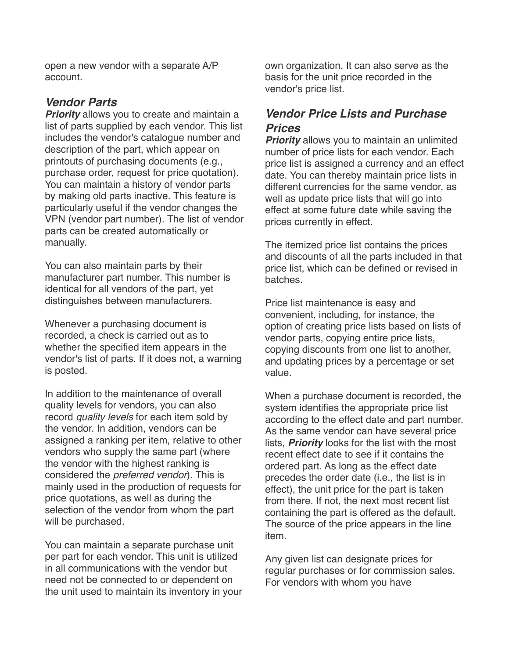open a new vendor with a separate A/P account.

## *Vendor Parts*

*Priority* allows you to create and maintain a list of parts supplied by each vendor. This list includes the vendor's catalogue number and description of the part, which appear on printouts of purchasing documents (e.g., purchase order, request for price quotation). You can maintain a history of vendor parts by making old parts inactive. This feature is particularly useful if the vendor changes the VPN (vendor part number). The list of vendor parts can be created automatically or manually.

You can also maintain parts by their manufacturer part number. This number is identical for all vendors of the part, yet distinguishes between manufacturers.

Whenever a purchasing document is recorded, a check is carried out as to whether the specified item appears in the vendor's list of parts. If it does not, a warning is posted.

In addition to the maintenance of overall quality levels for vendors, you can also record *quality levels* for each item sold by the vendor. In addition, vendors can be assigned a ranking per item, relative to other vendors who supply the same part (where the vendor with the highest ranking is considered the *preferred vendor*). This is mainly used in the production of requests for price quotations, as well as during the selection of the vendor from whom the part will be purchased.

You can maintain a separate purchase unit per part for each vendor. This unit is utilized in all communications with the vendor but need not be connected to or dependent on the unit used to maintain its inventory in your own organization. It can also serve as the basis for the unit price recorded in the vendor's price list.

# *Vendor Price Lists and Purchase Prices*

*Priority* allows you to maintain an unlimited number of price lists for each vendor. Each price list is assigned a currency and an effect date. You can thereby maintain price lists in different currencies for the same vendor, as well as update price lists that will go into effect at some future date while saving the prices currently in effect.

The itemized price list contains the prices and discounts of all the parts included in that price list, which can be defined or revised in batches.

Price list maintenance is easy and convenient, including, for instance, the option of creating price lists based on lists of vendor parts, copying entire price lists, copying discounts from one list to another, and updating prices by a percentage or set value.

When a purchase document is recorded, the system identifies the appropriate price list according to the effect date and part number. As the same vendor can have several price lists, *Priority* looks for the list with the most recent effect date to see if it contains the ordered part. As long as the effect date precedes the order date (i.e., the list is in effect), the unit price for the part is taken from there. If not, the next most recent list containing the part is offered as the default. The source of the price appears in the line item.

Any given list can designate prices for regular purchases or for commission sales. For vendors with whom you have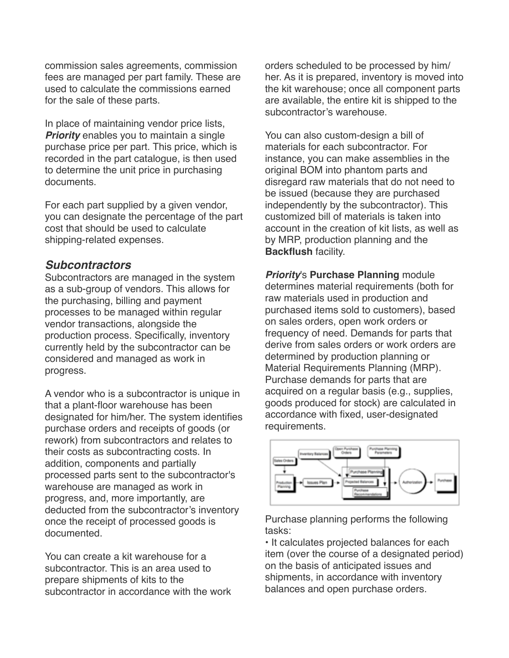commission sales agreements, commission fees are managed per part family. These are used to calculate the commissions earned for the sale of these parts.

In place of maintaining vendor price lists, *Priority* enables you to maintain a single purchase price per part. This price, which is recorded in the part catalogue, is then used to determine the unit price in purchasing documents.

For each part supplied by a given vendor, you can designate the percentage of the part cost that should be used to calculate shipping-related expenses.

## *Subcontractors*

Subcontractors are managed in the system as a sub-group of vendors. This allows for the purchasing, billing and payment processes to be managed within regular vendor transactions, alongside the production process. Specifically, inventory currently held by the subcontractor can be considered and managed as work in progress.

A vendor who is a subcontractor is unique in that a plant-floor warehouse has been designated for him/her. The system identifies purchase orders and receipts of goods (or rework) from subcontractors and relates to their costs as subcontracting costs. In addition, components and partially processed parts sent to the subcontractor's warehouse are managed as work in progress, and, more importantly, are deducted from the subcontractor's inventory once the receipt of processed goods is documented.

You can create a kit warehouse for a subcontractor. This is an area used to prepare shipments of kits to the subcontractor in accordance with the work orders scheduled to be processed by him/ her. As it is prepared, inventory is moved into the kit warehouse; once all component parts are available, the entire kit is shipped to the subcontractor's warehouse.

You can also custom-design a bill of materials for each subcontractor. For instance, you can make assemblies in the original BOM into phantom parts and disregard raw materials that do not need to be issued (because they are purchased independently by the subcontractor). This customized bill of materials is taken into account in the creation of kit lists, as well as by MRP, production planning and the **Backflush** facility.

*Priority*'s **Purchase Planning** module determines material requirements (both for raw materials used in production and purchased items sold to customers), based on sales orders, open work orders or frequency of need. Demands for parts that derive from sales orders or work orders are determined by production planning or Material Requirements Planning (MRP). Purchase demands for parts that are acquired on a regular basis (e.g., supplies, goods produced for stock) are calculated in accordance with fixed, user-designated requirements.



Purchase planning performs the following tasks:

• It calculates projected balances for each item (over the course of a designated period) on the basis of anticipated issues and shipments, in accordance with inventory balances and open purchase orders.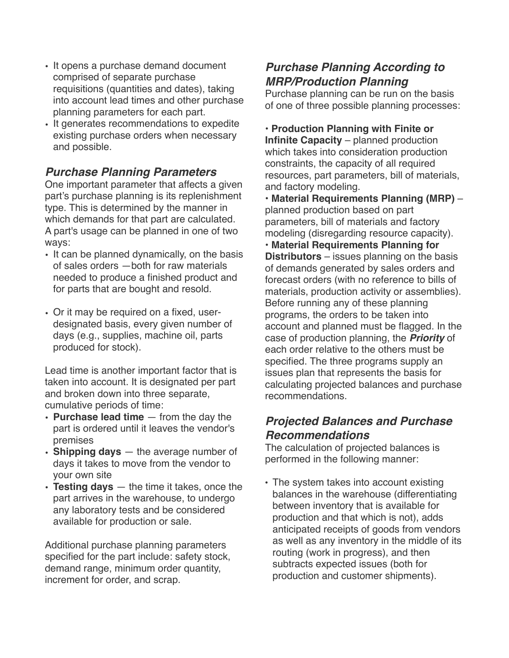- It opens a purchase demand document comprised of separate purchase requisitions (quantities and dates), taking into account lead times and other purchase planning parameters for each part.
- It generates recommendations to expedite existing purchase orders when necessary and possible.

# *Purchase Planning Parameters*

One important parameter that affects a given part's purchase planning is its replenishment type. This is determined by the manner in which demands for that part are calculated. A part's usage can be planned in one of two ways:

- It can be planned dynamically, on the basis of sales orders —both for raw materials needed to produce a finished product and for parts that are bought and resold.
- Or it may be required on a fixed, userdesignated basis, every given number of days (e.g., supplies, machine oil, parts produced for stock).

Lead time is another important factor that is taken into account. It is designated per part and broken down into three separate, cumulative periods of time:

- **Purchase lead time**  from the day the part is ordered until it leaves the vendor's premises
- **Shipping days**  the average number of days it takes to move from the vendor to your own site
- **Testing days**  the time it takes, once the part arrives in the warehouse, to undergo any laboratory tests and be considered available for production or sale.

Additional purchase planning parameters specified for the part include: safety stock, demand range, minimum order quantity, increment for order, and scrap.

# *Purchase Planning According to MRP/Production Planning*

Purchase planning can be run on the basis of one of three possible planning processes:

• **Production Planning with Finite or Infinite Capacity** – planned production which takes into consideration production constraints, the capacity of all required resources, part parameters, bill of materials, and factory modeling.

• **Material Requirements Planning (MRP)** – planned production based on part parameters, bill of materials and factory modeling (disregarding resource capacity). • **Material Requirements Planning for Distributors** – issues planning on the basis of demands generated by sales orders and forecast orders (with no reference to bills of materials, production activity or assemblies).

Before running any of these planning programs, the orders to be taken into account and planned must be flagged. In the case of production planning, the *Priority* of each order relative to the others must be specified. The three programs supply an issues plan that represents the basis for calculating projected balances and purchase recommendations.

# *Projected Balances and Purchase Recommendations*

The calculation of projected balances is performed in the following manner:

• The system takes into account existing balances in the warehouse (differentiating between inventory that is available for production and that which is not), adds anticipated receipts of goods from vendors as well as any inventory in the middle of its routing (work in progress), and then subtracts expected issues (both for production and customer shipments).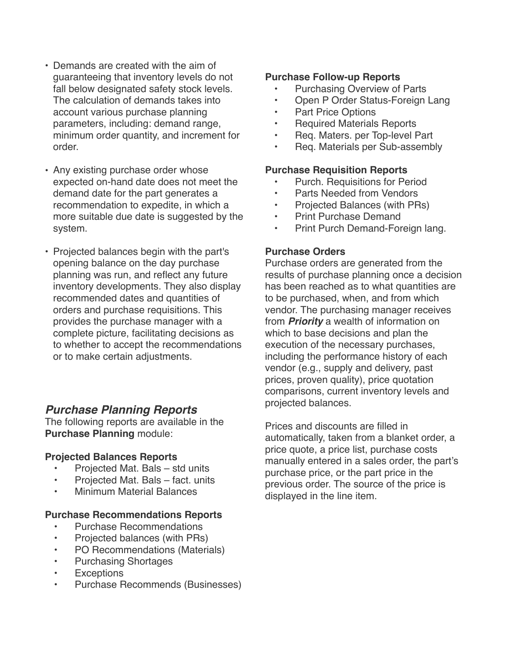- Demands are created with the aim of guaranteeing that inventory levels do not fall below designated safety stock levels. The calculation of demands takes into account various purchase planning parameters, including: demand range, minimum order quantity, and increment for order.
- Any existing purchase order whose expected on-hand date does not meet the demand date for the part generates a recommendation to expedite, in which a more suitable due date is suggested by the system.
- Projected balances begin with the part's opening balance on the day purchase planning was run, and reflect any future inventory developments. They also display recommended dates and quantities of orders and purchase requisitions. This provides the purchase manager with a complete picture, facilitating decisions as to whether to accept the recommendations or to make certain adjustments.

## *Purchase Planning Reports*

The following reports are available in the **Purchase Planning** module:

## **Projected Balances Reports**

- Projected Mat. Bals std units
- Projected Mat. Bals fact. units
- Minimum Material Balances

## **Purchase Recommendations Reports**

- Purchase Recommendations
- Projected balances (with PRs)
- PO Recommendations (Materials)
- Purchasing Shortages
- Exceptions
- Purchase Recommends (Businesses)

## **Purchase Follow-up Reports**

- Purchasing Overview of Parts
- Open P Order Status-Foreign Lang
- Part Price Options
- Required Materials Reports
- Req. Maters. per Top-level Part
- Req. Materials per Sub-assembly

#### **Purchase Requisition Reports**

- Purch. Requisitions for Period
- Parts Needed from Vendors
- Projected Balances (with PRs)
- Print Purchase Demand
- Print Purch Demand-Foreign lang.

## **Purchase Orders**

Purchase orders are generated from the results of purchase planning once a decision has been reached as to what quantities are to be purchased, when, and from which vendor. The purchasing manager receives from *Priority* a wealth of information on which to base decisions and plan the execution of the necessary purchases, including the performance history of each vendor (e.g., supply and delivery, past prices, proven quality), price quotation comparisons, current inventory levels and projected balances.

Prices and discounts are filled in automatically, taken from a blanket order, a price quote, a price list, purchase costs manually entered in a sales order, the part's purchase price, or the part price in the previous order. The source of the price is displayed in the line item.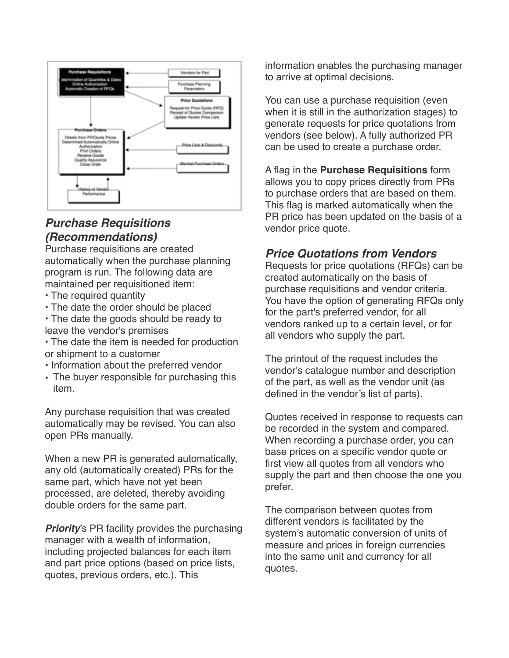

## *Purchase Requisitions (Recommendations)*

Purchase requisitions are created automatically when the purchase planning program is run. The following data are maintained per requisitioned item:

- The required quantity
- The date the order should be placed
- The date the goods should be ready to leave the vendor's premises
- The date the item is needed for production or shipment to a customer
- Information about the preferred vendor
- The buyer responsible for purchasing this item.

Any purchase requisition that was created automatically may be revised. You can also open PRs manually.

When a new PR is generated automatically, any old (automatically created) PRs for the same part, which have not yet been processed, are deleted, thereby avoiding double orders for the same part.

**Priority**'s PR facility provides the purchasing manager with a wealth of information, including projected balances for each item and part price options (based on price lists, quotes, previous orders, etc.). This

information enables the purchasing manager to arrive at optimal decisions.

You can use a purchase requisition (even when it is still in the authorization stages) to generate requests for price quotations from vendors (see below). A fully authorized PR can be used to create a purchase order.

A flag in the **Purchase Requisitions** form allows you to copy prices directly from PRs to purchase orders that are based on them. This flag is marked automatically when the PR price has been updated on the basis of a vendor price quote.

# *Price Quotations from Vendors*

Requests for price quotations (RFQs) can be created automatically on the basis of purchase requisitions and vendor criteria. You have the option of generating RFQs only for the part's preferred vendor, for all vendors ranked up to a certain level, or for all vendors who supply the part.

The printout of the request includes the vendor's catalogue number and description of the part, as well as the vendor unit (as defined in the vendor's list of parts).

Quotes received in response to requests can be recorded in the system and compared. When recording a purchase order, you can base prices on a specific vendor quote or first view all quotes from all vendors who supply the part and then choose the one you prefer.

The comparison between quotes from different vendors is facilitated by the system's automatic conversion of units of measure and prices in foreign currencies into the same unit and currency for all quotes.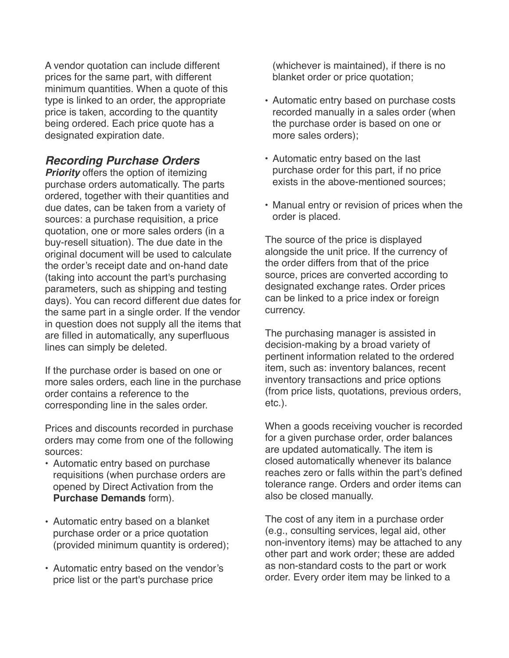A vendor quotation can include different prices for the same part, with different minimum quantities. When a quote of this type is linked to an order, the appropriate price is taken, according to the quantity being ordered. Each price quote has a designated expiration date.

# *Recording Purchase Orders*

**Priority** offers the option of itemizing purchase orders automatically. The parts ordered, together with their quantities and due dates, can be taken from a variety of sources: a purchase requisition, a price quotation, one or more sales orders (in a buy-resell situation). The due date in the original document will be used to calculate the order's receipt date and on-hand date (taking into account the part's purchasing parameters, such as shipping and testing days). You can record different due dates for the same part in a single order. If the vendor in question does not supply all the items that are filled in automatically, any superfluous lines can simply be deleted.

If the purchase order is based on one or more sales orders, each line in the purchase order contains a reference to the corresponding line in the sales order.

Prices and discounts recorded in purchase orders may come from one of the following sources:

- Automatic entry based on purchase requisitions (when purchase orders are opened by Direct Activation from the **Purchase Demands** form).
- Automatic entry based on a blanket purchase order or a price quotation (provided minimum quantity is ordered);
- Automatic entry based on the vendor's price list or the part's purchase price

(whichever is maintained), if there is no blanket order or price quotation;

- Automatic entry based on purchase costs recorded manually in a sales order (when the purchase order is based on one or more sales orders);
- Automatic entry based on the last purchase order for this part, if no price exists in the above-mentioned sources;
- Manual entry or revision of prices when the order is placed.

The source of the price is displayed alongside the unit price. If the currency of the order differs from that of the price source, prices are converted according to designated exchange rates. Order prices can be linked to a price index or foreign currency.

The purchasing manager is assisted in decision-making by a broad variety of pertinent information related to the ordered item, such as: inventory balances, recent inventory transactions and price options (from price lists, quotations, previous orders, etc.).

When a goods receiving voucher is recorded for a given purchase order, order balances are updated automatically. The item is closed automatically whenever its balance reaches zero or falls within the part's defined tolerance range. Orders and order items can also be closed manually.

The cost of any item in a purchase order (e.g., consulting services, legal aid, other non-inventory items) may be attached to any other part and work order; these are added as non-standard costs to the part or work order. Every order item may be linked to a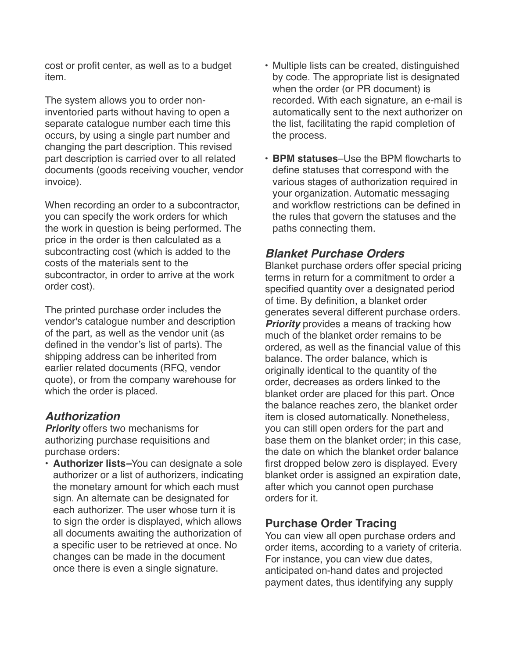cost or profit center, as well as to a budget item.

The system allows you to order noninventoried parts without having to open a separate catalogue number each time this occurs, by using a single part number and changing the part description. This revised part description is carried over to all related documents (goods receiving voucher, vendor invoice).

When recording an order to a subcontractor, you can specify the work orders for which the work in question is being performed. The price in the order is then calculated as a subcontracting cost (which is added to the costs of the materials sent to the subcontractor, in order to arrive at the work order cost).

The printed purchase order includes the vendor's catalogue number and description of the part, as well as the vendor unit (as defined in the vendor's list of parts). The shipping address can be inherited from earlier related documents (RFQ, vendor quote), or from the company warehouse for which the order is placed.

## *Authorization*

*Priority* offers two mechanisms for authorizing purchase requisitions and purchase orders:

• **Authorizer lists***–*You can designate a sole authorizer or a list of authorizers, indicating the monetary amount for which each must sign. An alternate can be designated for each authorizer. The user whose turn it is to sign the order is displayed, which allows all documents awaiting the authorization of a specific user to be retrieved at once. No changes can be made in the document once there is even a single signature.

- Multiple lists can be created, distinguished by code. The appropriate list is designated when the order (or PR document) is recorded. With each signature, an e-mail is automatically sent to the next authorizer on the list, facilitating the rapid completion of the process.
- **BPM statuses**–Use the BPM flowcharts to define statuses that correspond with the various stages of authorization required in your organization. Automatic messaging and workflow restrictions can be defined in the rules that govern the statuses and the paths connecting them.

# *Blanket Purchase Orders*

Blanket purchase orders offer special pricing terms in return for a commitment to order a specified quantity over a designated period of time. By definition, a blanket order generates several different purchase orders. **Priority** provides a means of tracking how much of the blanket order remains to be ordered, as well as the financial value of this balance. The order balance, which is originally identical to the quantity of the order, decreases as orders linked to the blanket order are placed for this part. Once the balance reaches zero, the blanket order item is closed automatically. Nonetheless, you can still open orders for the part and base them on the blanket order; in this case, the date on which the blanket order balance first dropped below zero is displayed. Every blanket order is assigned an expiration date, after which you cannot open purchase orders for it.

# **Purchase Order Tracing**

You can view all open purchase orders and order items, according to a variety of criteria. For instance, you can view due dates, anticipated on-hand dates and projected payment dates, thus identifying any supply